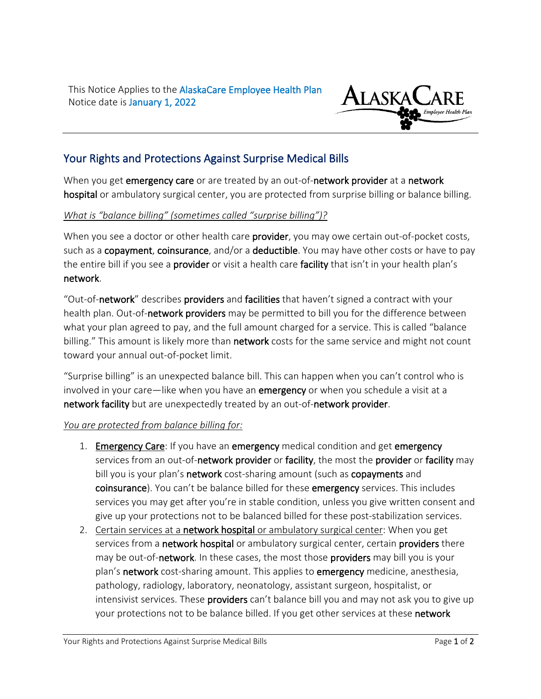This Notice Applies to the AlaskaCare Employee Health Plan Notice date is January 1, 2022



## Your Rights and Protections Against Surprise Medical Bills

When you get emergency care or are treated by an out-of-network provider at a network hospital or ambulatory surgical center, you are protected from surprise billing or balance billing.

## *What is "balance billing" (sometimes called "surprise billing")?*

When you see a doctor or other health care **provider**, you may owe certain out-of-pocket costs, such as a copayment, coinsurance, and/or a deductible. You may have other costs or have to pay the entire bill if you see a provider or visit a health care facility that isn't in your health plan's network.

"Out-of-network" describes providers and facilities that haven't signed a contract with your health plan. Out-of-network providers may be permitted to bill you for the difference between what your plan agreed to pay, and the full amount charged for a service. This is called "balance billing." This amount is likely more than network costs for the same service and might not count toward your annual out-of-pocket limit.

"Surprise billing" is an unexpected balance bill. This can happen when you can't control who is involved in your care—like when you have an emergency or when you schedule a visit at a network facility but are unexpectedly treated by an out-of-network provider.

## *You are protected from balance billing for:*

- 1. Emergency Care: If you have an emergency medical condition and get emergency services from an out-of-network provider or facility, the most the provider or facility may bill you is your plan's network cost-sharing amount (such as copayments and coinsurance). You can't be balance billed for these emergency services. This includes services you may get after you're in stable condition, unless you give written consent and give up your protections not to be balanced billed for these post-stabilization services.
- 2. Certain services at a network hospital or ambulatory surgical center: When you get services from a network hospital or ambulatory surgical center, certain providers there may be out-of-network. In these cases, the most those providers may bill you is your plan's network cost-sharing amount. This applies to emergency medicine, anesthesia, pathology, radiology, laboratory, neonatology, assistant surgeon, hospitalist, or intensivist services. These providers can't balance bill you and may not ask you to give up your protections not to be balance billed. If you get other services at these network